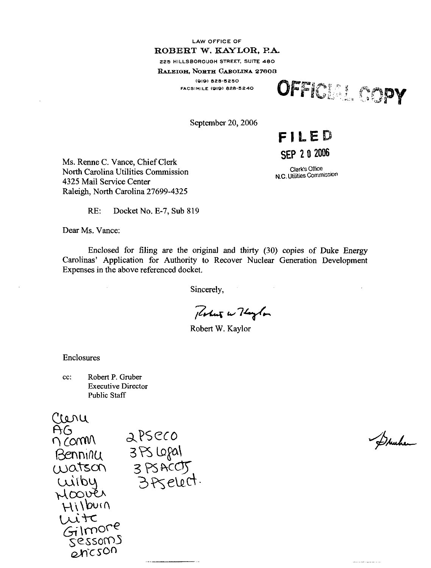# LAW OFFICE OF ROBERT W. KAYLOR. PA- 225 HILLSBOROUGH STREET, SUITE 480 RALEIGH, NORTH GAROLINA 27603 (019) 828-525 0

FACSIMILE (SID) 828-5240 **OFFICERS** 

September 20, 2006

FILED

# SEP 2 0 2006

Clerk's Oftice N.C. Utilities Commission

Ms. Renne C. Vance, Chief Clerk North Carolina Utilities Commission 4325 Mail Service Center Raleigh, North Carolina 27699-4325

RE: Docket No. E-7, Sub 819

Dear Ms. Vance:

Enclosed for filing are the original and thirty (30) copies of Duke Energy Carolinas' Application for Authority to Recover Nuclear Generation Development Expenses in the above referenced docket.

Sincerely,

Perket w Haylor

Robert W. Kaylor

Enclosures

cc: Robert P. Gruber Executive Director Public Staff



Dunher

.<br>من الرابط المروي المداد المحمد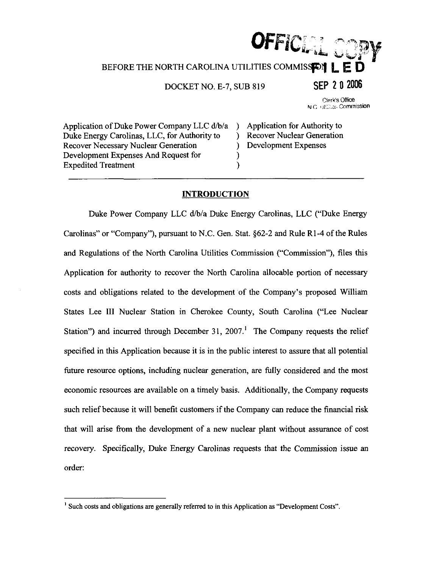# OFFICI $T$  or BEFORE THE NORTH CAROLINA UTILITIES COMMISSEDIE DOCKET NO. E-7, SUB 819 SEP 2 0 2006 Clerk's Office N.C. giggings Commission

Application of Duke Power Company LLC d/b/a ) Application for Authority to Duke Energy Carolinas, LLC, for Authority to ) Recover Nuclear Generation Duke Energy Carolinas, LLC, for Authority to  $\qquad$  ) Recover Necessary Nuclear Generation (b) Development Expenses Development Expenses And Request for () Expedited Treatment (1)

# **INTRODUCTION**

Duke Power Company LLC d/b/a Duke Energy Carolinas, LLC ("Duke Energy Carolinas" or "Company"), pursuant to N.C. Gen. Stat. §62-2 and Rule R1-4 of the Rules and Regulations of the North Carolina Utilities Commission ("Commission"), files this Application for authority to recover the North Carolina allocable portion of necessary costs and obligations related to the development of the Company's proposed William States Lee III Nuclear Station in Cherokee County, South Carolina ("Lee Nuclear Station") and incurred through December 31, 2007.<sup>1</sup> The Company requests the relief specified in this Application because it is in the public interest to assure that all potential future resource options, including nuclear generation, are fully considered and the most economic resources are available on a timely basis. Additionally, the Company requests such relief because it will benefit customers if the Company can reduce the financial risk that will arise from the development of a new nuclear plant without assurance of cost recovery. Specifically, Duke Energy Carolinas requests that the Commission issue an order:

<sup>&</sup>lt;sup>1</sup> Such costs and obligations are generally referred to in this Application as "Development Costs".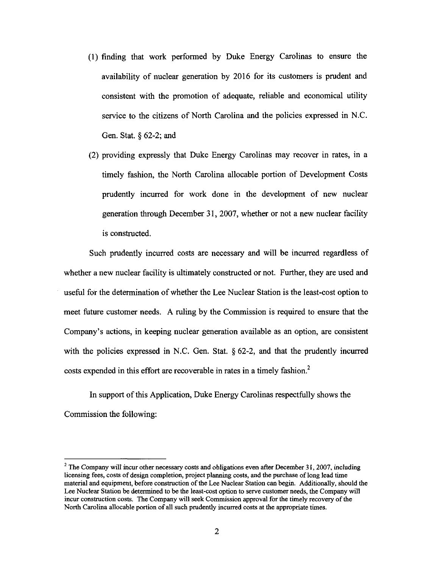- (1) finding that work perfonned by Duke Energy Carolinas to ensure the availability of nuclear generation by 2016 for its customers is prudent and consistent with the promotion of adequate, reliable and economical utility service to the citizens of North Carolina and the policies expressed in N.C. Gen. Stat. § 62-2; and
- (2) providing expressly that Duke Energy Carolinas may recover in rates, in a timely fashion, the North Carolina allocable portion of Development Costs prudently incurred for work done in the development of new nuclear generation through December 31, 2007, whether or not a new nuclear facility is constructed.

Such prudently incurred costs are necessary and will be incurred regardless of whether a new nuclear facility is ultimately constructed or not. Further, they are used and useful for the determination of whether the Lee Nuclear Station is the least-cost option to meet future customer needs. A ruling by the Commission is required to ensure that the Company's actions, in keeping nuclear generation available as an option, are consistent with the policies expressed in N.C. Gen. Stat.  $\S$  62-2, and that the prudently incurred costs expended in this effort are recoverable in rates in a timely fashion.<sup>2</sup>

In support of this Application, Duke Energy Carolinas respectfully shows the Commission the following:

<sup>&</sup>lt;sup>2</sup> The Company will incur other necessary costs and obligations even after December 31, 2007, including licensing fees, costs of design completion, project planning costs, and the purchase of long lead time material and equipment, before construction of the Lee Nuclear Station can begin. Additionally, should the Lee Nuclear Station be determined to be the least-cost option to serve customer needs, the Company will incur constmction costs. The Company will seek Commission approval for the timely recovery of the North Carolina allocable portion of all such prudently incurred costs at the appropriate times.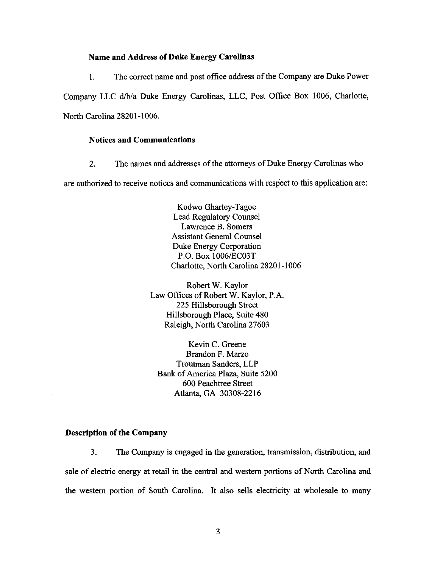### Name and Address of Duke Energy Carolinas

1. The correct name and post office address ofthe Company are Duke Power Company LLC d/b/a Duke Energy Carolinas, LLC, Post Office Box 1006, Charlotte, North Carolina 28201-1006.

# Notices and Communications

2. The names and addresses of the attorneys of Duke Energy Carolinas who

are authorized to receive notices and communications with respect to this application are:

Kodwo Ghartey-Tagoe Lead Regulatory Counsel Lawrence B. Somers Assistant General Counsel Duke Energy Corporation P.O. Box 1006/EC03T Charlotte, North Carolina 28201-1006

Robert W. Kaylor Law Offices of Robert W. Kaylor, P.A. 225 Hillsborough Street Hillsborough Place, Suite 480 Raleigh, North Carolina 27603

Kevin C. Greene Brandon F. Marzo Troutman Sanders, LLP Bank of America Plaza, Suite 5200 600 Peachtree Street Atlanta, GA 30308-2216

#### Description of the Company

3. The Company is engaged in the generation, transmission, distribution, and sale of electric energy at retail in the central and western portions of North Carolina and the western portion of South Carolina. It also sells electricity at wholesale to many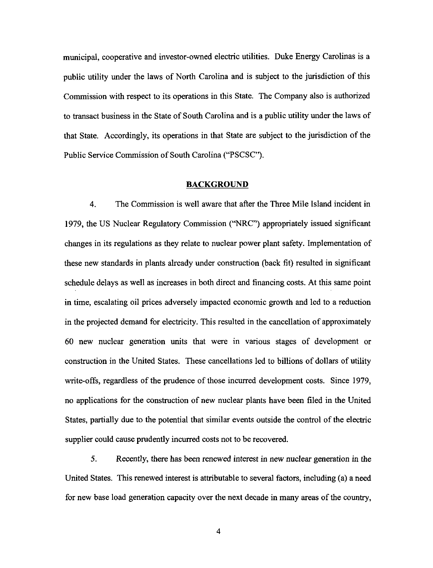municipal, cooperative and investor-owned electric utilities. Duke Energy Carolinas is a public utility under the laws of North Carolina and is subject to the jurisdiction of this Commission with respect to its operations in this State. The Company also is authorized to transact business in the State of South Carolina and is a public utility under the laws of that State. Accordingly, its operations in that State are subject to the jurisdiction of the Public Service Commission of South Carolina ("PSCSC").

#### BACKGROUND

4. The Commission is well aware that after the Three Mile Island incident in 1979, the US Nuclear Regulatory Commission ("NRC") appropriately issued significant changes in its regulations as they relate to nuclear power plant safety. Implementation of these new standards in plants already under construction (back fit) resulted in significant schedule delays as well as increases in both direct and financing costs. At this same point in time, escalating oil prices adversely impacted economic growth and led to a reduction in the projected demand for electricity. This resulted in the cancellation of approximately 60 new nuclear generation units that were in various stages of development or construction in the United States. These cancellations led to billions of dollars of utility write-offs, regardless of the prudence of those incurred development costs. Since 1979, no applications for the construction of new nuclear plants have been filed in the United States, partially due to the potential that similar events outside the control of the electric supplier could cause prudently incurred costs not to be recovered.

5. Recently, there has been renewed interest in new nuclear generation in the United States. This renewed interest is attributable to several factors, including (a) a need for new base load generation capacity over the next decade in many areas of the country,

 $\overline{4}$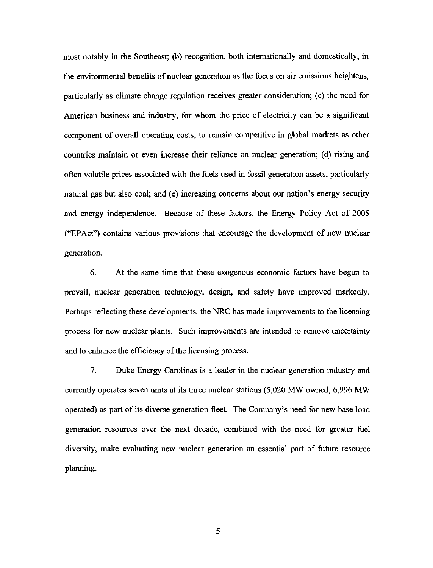most notably in the Southeast; (b) recognition, both internationally and domestically, in the environmental benefits of nuclear generation as the focus on air emissions heightens, particularly as climate change regulation receives greater consideration; (c) the need for American business and industry, for whom the price of electricity can be a significant component of overall operating costs, to remain competitive in global markets as other countries maintain or even increase their reliance on nuclear generation; (d) rising and often volatile prices associated with the fuels used in fossil generation assets, particularly natural gas but also coal; and (e) increasing concerns about our nation's energy security and energy independence. Because of these factors, the Energy Policy Act of 2005 ("EPAct") contains various provisions that encourage the development of new nuclear generation.

6. At the same time that these exogenous economic factors have begun to prevail, nuclear generation technology, design, and safety have improved markedly. Perhaps reflecting these developments, the NRC has made improvements to the licensing process for new nuclear plants. Such improvements are intended to remove uncertainty and to enhance the efficiency of the licensing process.

7. Duke Energy Carolinas is a leader in the nuclear generation industry and currently operates seven units at its three nuclear stations (5,020 MW owned, 6,996 MW operated) as part of its diverse generation fleet. The Company's need for new base load generation resources over the next decade, combined with the need for greater fuel diversity, make evaluating new nuclear generation an essential part of future resource planning.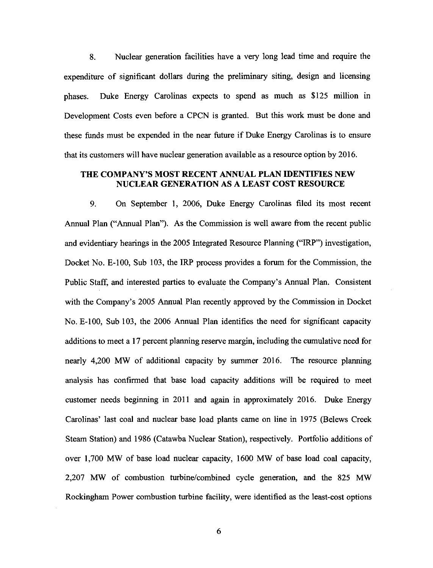8. Nuclear generation facilities have a very long lead time and require the expenditure of significant dollars during the preliminary siting, design and licensing phases. Duke Energy Carolinas expects to spend as much as \$125 million in Development Costs even before a CPCN is granted. But this work must be done and these funds must be expended in the near future if Duke Energy Carolinas is to ensure that its customers will have nuclear generation available as a resource option by 2016.

# THE COMPANY'S MOST RECENT ANNUAL PLAN IDENTIFIES NEW NUCLEAR GENERATION AS A LEAST COST RESOURCE

9. On September 1, 2006, Duke Energy Carolinas filed its most recent Annual Plan ("Annual Plan"). As the Commission is well aware from the recent public and evidentiary hearings in the 2005 Integrated Resource Planning ("IRP") investigation, Docket No. E-100, Sub 103, the IRP process provides a forum for the Commission, the Public Staff, and interested parties to evaluate the Company's Annual Plan. Consistent with the Company's 2005 Annual Plan recently approved by the Commission in Docket No. E-100, Sub 103, the 2006 Annual Plan identifies the need for significant capacity additions to meet a 17 percent planning reserve margin, including the cumulative need for nearly 4,200 MW of additional capacity by summer 2016. The resource planning analysis has confirmed that base load capacity additions will be required to meet customer needs beginning in 2011 and again in approximately 2016. Duke Energy Carolinas' last coal and nuclear base load plants came on line in 1975 (Belews Creek Steam Station) and 1986 (Catawba Nuclear Station), respectively. Portfolio additions of over 1,700 MW of base load nuclear capacity, 1600 MW of base load coal capacity, 2,207 MW of combustion turbine/combined cycle generation, and the 825 MW Rockingham Power combustion turbine facility, were identified as the least-cost options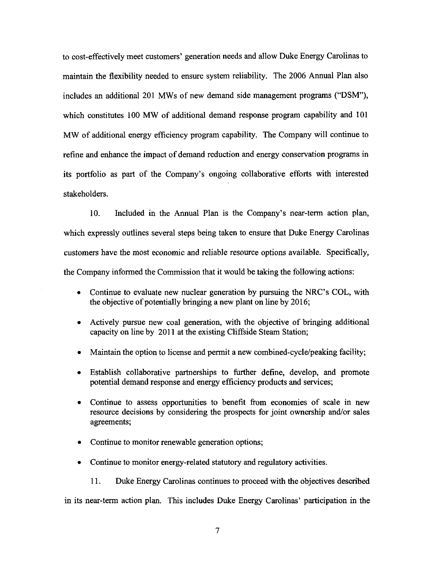to cost-effectively meet customers' generation needs and allow Duke Energy Carolinas to maintain the flexibility needed to ensure system reliability. The 2006 Annual Plan also includes an additional 201 MWs of new demand side management programs ("DSM"), which constitutes 100 MW of additional demand response program capability and 101 MW of additional energy efficiency program capability. The Company will continue to refine and enhance the impact of demand reduction and energy conservation programs in its portfolio as part of the Company's ongoing collaborative efforts with interested stakeholders.

10. Included in the Annual Plan is the Company's near-term action plan, which expressly outlines several steps being taken to ensure that Duke Energy Carolinas customers have the most economic and reliable resource options available. Specifically, the Company informed the Commission that it would be taking the following actions:

- Continue to evaluate new nuclear generation by pursuing the NRC's COL, with the objective of potentially bringing a new plant on line by 2016;
- Actively pursue new coal generation, with the objective of bringing additional capacity on line by 2011 at the existing Cliffside Steam Station;
- Maintain the option to license and permit a new combined-cycle/peaking facility;
- Establish collaborative partnerships to further define, develop, and promote potential demand response and energy efficiency products and services;
- Continue to assess opportunities to benefit from economies of scale in new resource decisions by considering the prospects for joint ownership and/or sales agreements;
- Continue to monitor renewable generation options;
- Continue to monitor energy-related statutory and regulatory activities.
	- 11. Duke Energy Carolinas continues to proceed with the objectives described

in its near-term action plan. This includes Duke Energy Carolinas' participation in the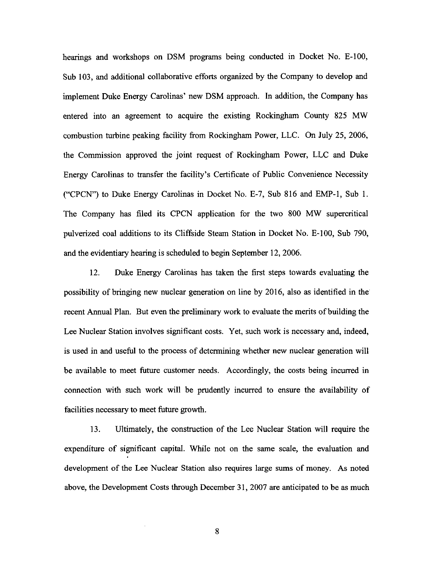hearings and workshops on DSM programs being conducted in Docket No. E-100, Sub 103, and additional collaborative efforts organized by the Company to develop and implement Duke Energy Carolinas' new DSM approach. In addition, the Company has entered into an agreement to acquire the existing Rockingham County 825 MW combustion turbine peaking facility from Rockingham Power, LLC. On July 25, 2006, the Commission approved the joint request of Rockingham Power, LLC and Duke Energy Carolinas to transfer the facility's Certificate of Public Convenience Necessity ("CPCN") to Duke Energy Carolinas in Docket No. E-7, Sub 816 and EMP-1, Sub 1. The Company has filed its CPCN application for the two 800 MW supercritical pulverized coal additions to its Cliffside Steam Station in Docket No. E-100, Sub 790, and the evidentiary hearing is scheduled to begin September 12, 2006.

12. Duke Energy Carolinas has taken the first steps towards evaluating the possibility of bringing new nuclear generation on line by 2016, also as identified in the recent Annual Plan. But even the preliminary work to evaluate the merits of building the Lee Nuclear Station involves significant costs. Yet, such work is necessary and, indeed, is used in and useful to fhe process of determining whether new nuclear generation will be available to meet future customer needs. Accordingly, the costs being incurred in connection with such work will be prudently incurred to ensure the availability of facilities necessary to meet future growth.

13. Ultimately, the construction of the Lee Nuclear Station will require the expenditure of significant capital. While not on the same scale, the evaluation and development of the Lee Nuclear Station also requires large sums of money. As noted above, the Development Costs through December 31, 2007 are anticipated to be as much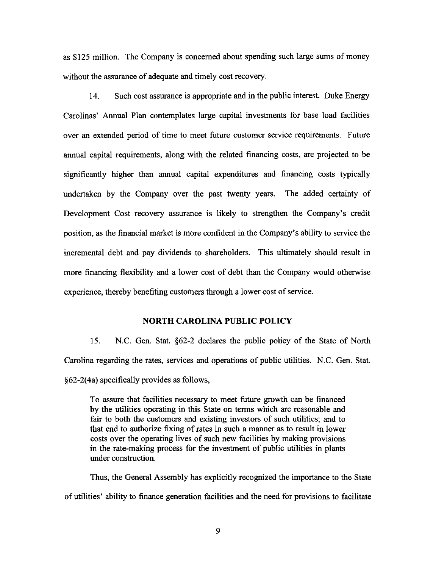as \$125 million. The Company is concerned about spending such large sums of money without the assurance of adequate and timely cost recovery.

14. Such cost assurance is appropriate and in the public interest. Duke Energy Carolinas' Annual Plan contemplates large capital investments for base load facilities over an extended period of time to meet future customer service requirements. Future annual capital requirements, along with the related financing costs, are projected to be significantly higher than annual capital expenditures and financing costs typically undertaken by the Company over the past twenty years. The added certainty of Development Cost recovery assurance is likely to strengthen the Company's credit position, as the financial market is more confident in the Company's ability to service the incremental debt and pay dividends to shareholders. This ultimately should result in more financing flexibility and a lower cost of debt than the Company would otherwise experience, thereby benefiting customers through a lower cost of service.

# NORTH CAROLINA PUBLIC POLICY

15. N.C. Gen. Stat.  $\S62-2$  declares the public policy of the State of North Carolina regarding the rates, services and operations of public utilities. N.C. Gen. Stat. §62-2(4a) specifically provides as follows.

To assure that facilities necessary to meet future growth can be financed by the utilities operating in this State on terms which are reasonable and fair to both the customers and existing investors of such utilities; and to that end to authorize fixing of rates in such a manner as to result in lower costs over the operating lives of such new facilities by making provisions in the rate-making process for the investment of public utilities in plants under construction.

Thus, the General Assembly has explicitly recognized the importance to the State of utilities' ability to finance generation facilities and the need for provisions to facilitate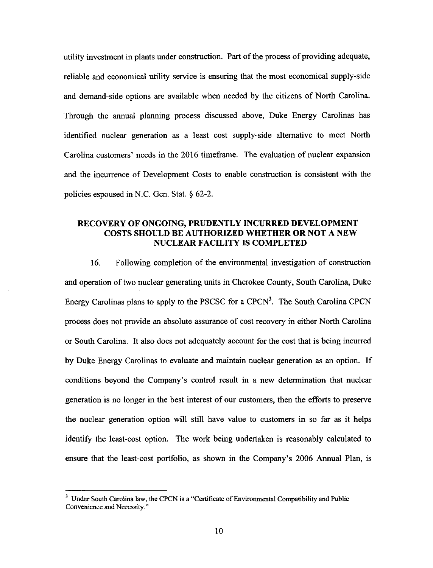utility investment in plants under construction. Part of the process of providing adequate, reliable and economical utility service is ensuring that the most economical supply-side and demand-side options are available when needed by the citizens of North Carolina. Through the annual planning process discussed above, Duke Energy Carolinas has identified nuclear generation as a least cost supply-side alternative to meet North Carolina customers' needs in the 2016 timeframe. The evaluation of nuclear expansion and the incurrence of Development Costs to enable construction is consistent with the policies espoused in N.C. Gen. Stat. § 62-2.

# RECOVERY OF ONGOING, PRUDENTLY INCURRED DEVELOPMENT COSTS SHOULD BE AUTHORIZED WHETHER OR NOT A NEW NUCLEAR FACILITY IS COMPLETED

16. Following completion of the environmental investigation of construction and operation of two nuclear generating units in Cherokee County, South Carolina, Duke Energy Carolinas plans to apply to the PSCSC for a  $CPCN<sup>3</sup>$ . The South Carolina CPCN process does not provide an absolute assurance of cost recovery in either North Carolina or South Carolina. It also does not adequately account for the cost that is being incurred by Duke Energy Carolinas to evaluate and maintain nuclear generation as an option. If conditions beyond the Company's control result in a new determination that nuclear generation is no longer in the best interest of our customers, then the efforts to preserve the nuclear generation option will still have value to customers in so far as it helps identify the least-cost option. The work being undertaken is reasonably calculated to ensure that the least-cost portfolio, as shown in the Company's 2006 Annual Plan, is

<sup>&</sup>lt;sup>3</sup> Under South Carolina law, the CPCN is a "Certificate of Environmental Compatibility and Public Convenience and Necessity."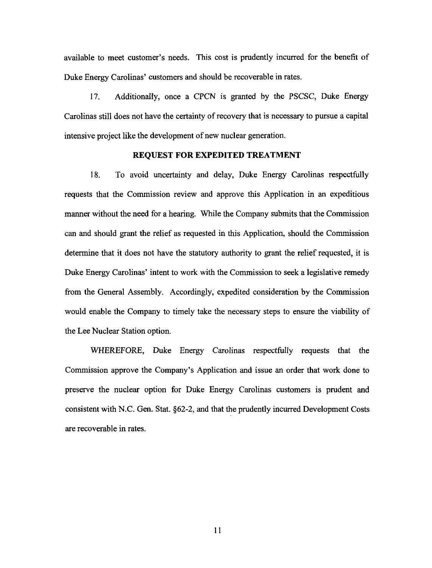available to meet customer's needs. This cost is prudently incurred for the benefit of Duke Energy Carolinas' customers and should be recoverable in rates.

17. Additionally, once a CPCN is granted by the PSCSC, Duke Energy Carolinas still does not have the certainty of recovery that is necessary to pursue a capital intensive project like the development of new nuclear generation.

## REQUEST FOR EXPEDITED TREATMENT

18. To avoid uncertainty and delay, Duke Energy Carolinas respectfully requests that the Commission review and approve this Application in an expeditious manner without the need for a hearing. While the Company submits that the Commission can and should grant the relief as requested in this Application, should the Commission determine that it does not have the statutory authority to grant the relief requested, it is Duke Energy Carolinas' intent to work with the Commission to seek a legislative remedy from the General Assembly. Accordingly, expedited consideration by the Commission would enable the Company to timely take the necessary steps to ensure the viability of the Lee Nuclear Station option.

WHEREFORE, Duke Energy Carolinas respectfully requests that the Commission approve the Company's Application and issue an order that work done to preserve the nuclear option for Duke Energy Carolinas customers is prudent and consistent with N.C. Gen. Stat. §62-2, and that the prudently incurred Development Costs are recoverable in rates.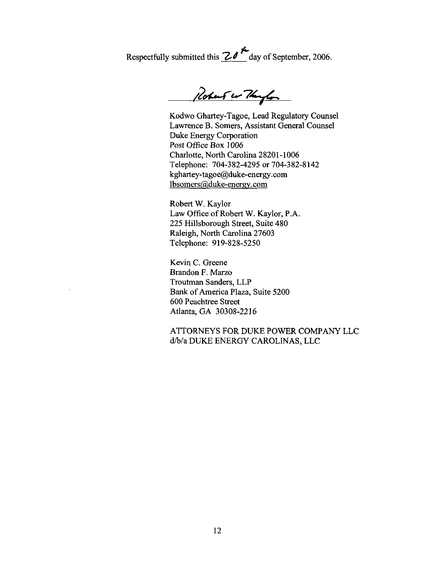Respectfully submitted this  $\frac{20^{14}}{200}$  day of September, 2006.

Robert wo Though

Kodwo Ghartey-Tagoe, Lead Regulatory Counsel Lawrence B. Somers, Assistant General Counsel Duke Energy Corporation Post Office Box 1006 Charlotte, North Carolina 28201-1006 Telephone: 704-382-4295 or 704-382-8142 kghartey-tagoe@duke-energy.com lbsomers@duke-energy.com

Robert W. Kaylor Law Office of Robert W. Kaylor, P.A. 225 Hillsborough Street, Suite 480 Raleigh, North Carolina 27603 Telephone: 919-828-5250

Kevin C. Greene Brandon F. Marzo Troutman Sanders, LLP Bank of America Plaza, Suite 5200 600 Peachtree Street Atlanta, GA 30308-2216

ATTORNEYS FOR DUKE POWER COMPANY LLC d/b/a DUKE ENERGY CAROLINAS, LLC